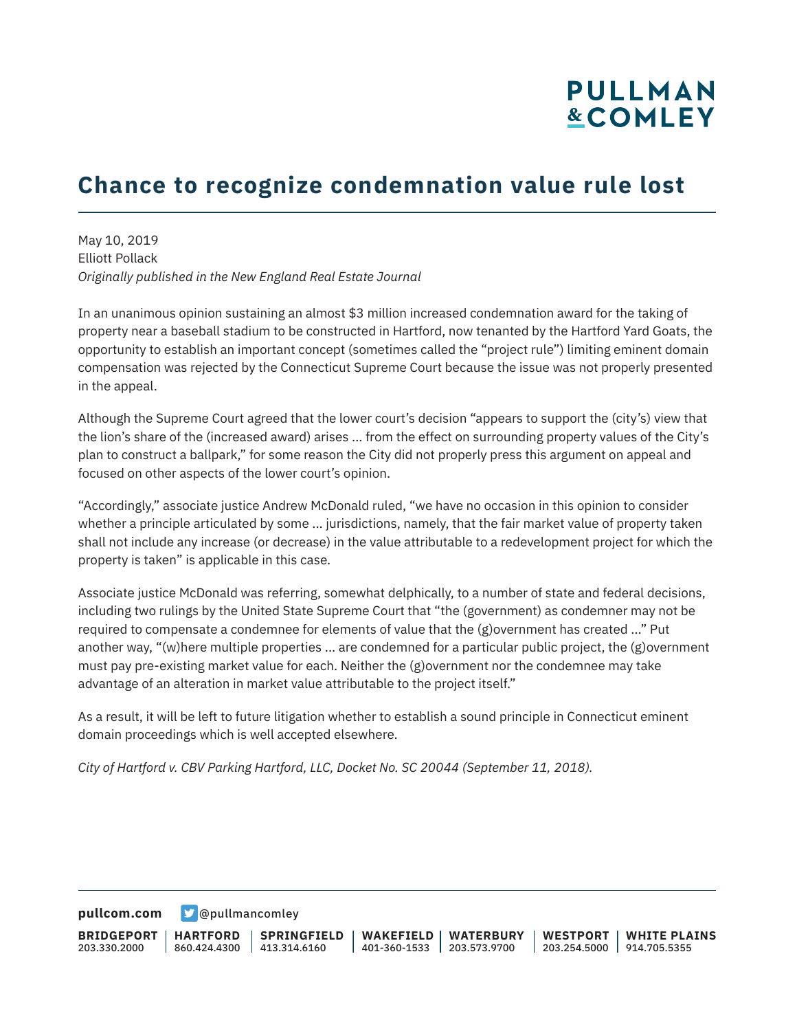# **PULLMAN &COMLEY**

# **Chance to recognize condemnation value rule lost**

May 10, 2019 Elliott Pollack *Originally published in the New England Real Estate Journal*

In an unanimous opinion sustaining an almost \$3 million increased condemnation award for the taking of property near a baseball stadium to be constructed in Hartford, now tenanted by the Hartford Yard Goats, the opportunity to establish an important concept (sometimes called the "project rule") limiting eminent domain compensation was rejected by the Connecticut Supreme Court because the issue was not properly presented in the appeal.

Although the Supreme Court agreed that the lower court's decision "appears to support the (city's) view that the lion's share of the (increased award) arises ... from the effect on surrounding property values of the City's plan to construct a ballpark," for some reason the City did not properly press this argument on appeal and focused on other aspects of the lower court's opinion.

"Accordingly," associate justice Andrew McDonald ruled, "we have no occasion in this opinion to consider whether a principle articulated by some ... jurisdictions, namely, that the fair market value of property taken shall not include any increase (or decrease) in the value attributable to a redevelopment project for which the property is taken" is applicable in this case.

Associate justice McDonald was referring, somewhat delphically, to a number of state and federal decisions, including two rulings by the United State Supreme Court that "the (government) as condemner may not be required to compensate a condemnee for elements of value that the (g)overnment has created ..." Put another way, "(w)here multiple properties ... are condemned for a particular public project, the (g)overnment must pay pre-existing market value for each. Neither the (g)overnment nor the condemnee may take advantage of an alteration in market value attributable to the project itself."

As a result, it will be left to future litigation whether to establish a sound principle in Connecticut eminent domain proceedings which is well accepted elsewhere.

*City of Hartford v. CBV Parking Hartford, LLC, Docket No. SC 20044 (September 11, 2018).*

**[pullcom.com](https://www.pullcom.com) g** [@pullmancomley](https://twitter.com/PullmanComley)

**BRIDGEPORT** 203.330.2000 **HARTFORD** 860.424.4300 413.314.6160 **SPRINGFIELD WAKEFIELD WATERBURY** 401-360-1533 203.573.9700 **WESTPORT WHITE PLAINS** 203.254.5000 914.705.5355